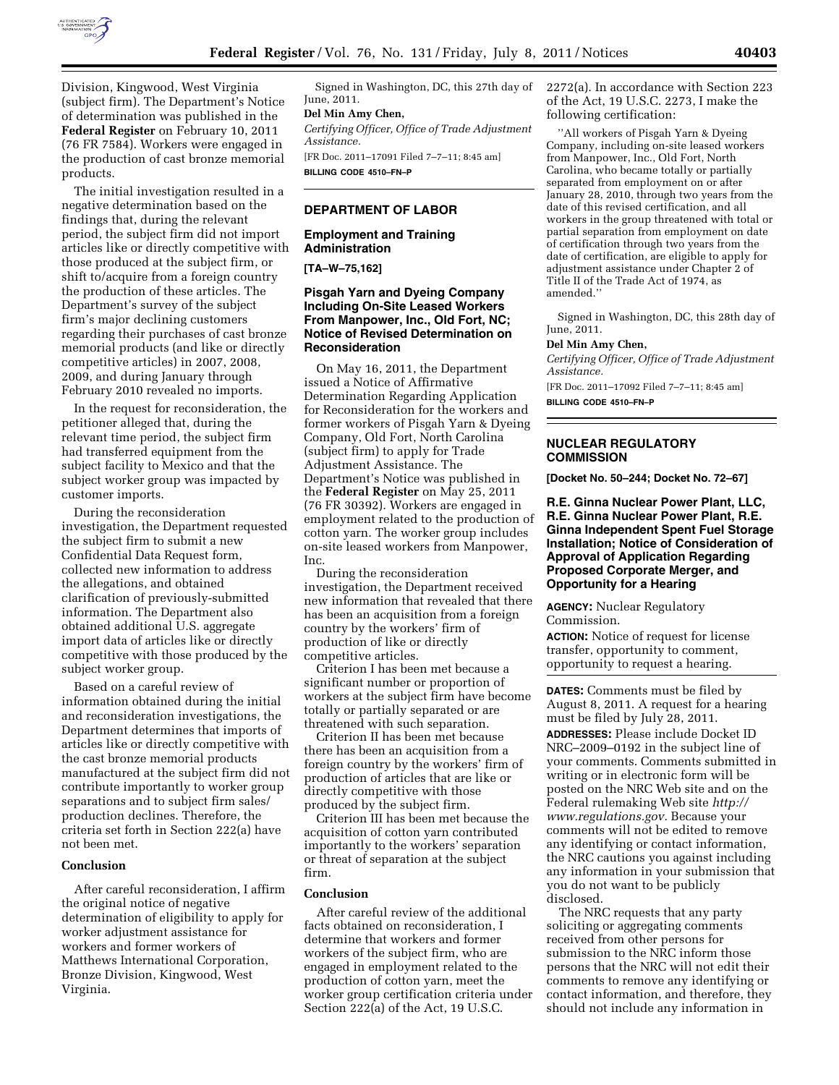

Division, Kingwood, West Virginia (subject firm). The Department's Notice of determination was published in the **Federal Register** on February 10, 2011 (76 FR 7584). Workers were engaged in the production of cast bronze memorial products.

The initial investigation resulted in a negative determination based on the findings that, during the relevant period, the subject firm did not import articles like or directly competitive with those produced at the subject firm, or shift to/acquire from a foreign country the production of these articles. The Department's survey of the subject firm's major declining customers regarding their purchases of cast bronze memorial products (and like or directly competitive articles) in 2007, 2008, 2009, and during January through February 2010 revealed no imports.

In the request for reconsideration, the petitioner alleged that, during the relevant time period, the subject firm had transferred equipment from the subject facility to Mexico and that the subject worker group was impacted by customer imports.

During the reconsideration investigation, the Department requested the subject firm to submit a new Confidential Data Request form, collected new information to address the allegations, and obtained clarification of previously-submitted information. The Department also obtained additional U.S. aggregate import data of articles like or directly competitive with those produced by the subject worker group.

Based on a careful review of information obtained during the initial and reconsideration investigations, the Department determines that imports of articles like or directly competitive with the cast bronze memorial products manufactured at the subject firm did not contribute importantly to worker group separations and to subject firm sales/ production declines. Therefore, the criteria set forth in Section 222(a) have not been met.

#### **Conclusion**

After careful reconsideration, I affirm the original notice of negative determination of eligibility to apply for worker adjustment assistance for workers and former workers of Matthews International Corporation, Bronze Division, Kingwood, West Virginia.

Signed in Washington, DC, this 27th day of June, 2011.

## **Del Min Amy Chen,**

*Certifying Officer, Office of Trade Adjustment Assistance.* 

[FR Doc. 2011–17091 Filed 7–7–11; 8:45 am] **BILLING CODE 4510–FN–P** 

#### **DEPARTMENT OF LABOR**

### **Employment and Training Administration**

**[TA–W–75,162]** 

## **Pisgah Yarn and Dyeing Company Including On-Site Leased Workers From Manpower, Inc., Old Fort, NC; Notice of Revised Determination on Reconsideration**

On May 16, 2011, the Department issued a Notice of Affirmative Determination Regarding Application for Reconsideration for the workers and former workers of Pisgah Yarn & Dyeing Company, Old Fort, North Carolina (subject firm) to apply for Trade Adjustment Assistance. The Department's Notice was published in the **Federal Register** on May 25, 2011 (76 FR 30392). Workers are engaged in employment related to the production of cotton yarn. The worker group includes on-site leased workers from Manpower, Inc.

During the reconsideration investigation, the Department received new information that revealed that there has been an acquisition from a foreign country by the workers' firm of production of like or directly competitive articles.

Criterion I has been met because a significant number or proportion of workers at the subject firm have become totally or partially separated or are threatened with such separation.

Criterion II has been met because there has been an acquisition from a foreign country by the workers' firm of production of articles that are like or directly competitive with those produced by the subject firm.

Criterion III has been met because the acquisition of cotton yarn contributed importantly to the workers' separation or threat of separation at the subject firm.

#### **Conclusion**

After careful review of the additional facts obtained on reconsideration, I determine that workers and former workers of the subject firm, who are engaged in employment related to the production of cotton yarn, meet the worker group certification criteria under Section 222(a) of the Act, 19 U.S.C.

2272(a). In accordance with Section 223 of the Act, 19 U.S.C. 2273, I make the following certification:

''All workers of Pisgah Yarn & Dyeing Company, including on-site leased workers from Manpower, Inc., Old Fort, North Carolina, who became totally or partially separated from employment on or after January 28, 2010, through two years from the date of this revised certification, and all workers in the group threatened with total or partial separation from employment on date of certification through two years from the date of certification, are eligible to apply for adjustment assistance under Chapter 2 of Title II of the Trade Act of 1974, as amended.''

Signed in Washington, DC, this 28th day of June, 2011.

#### **Del Min Amy Chen,**

*Certifying Officer, Office of Trade Adjustment Assistance.* 

[FR Doc. 2011–17092 Filed 7–7–11; 8:45 am] **BILLING CODE 4510–FN–P** 

#### **NUCLEAR REGULATORY COMMISSION**

**[Docket No. 50–244; Docket No. 72–67]** 

**R.E. Ginna Nuclear Power Plant, LLC, R.E. Ginna Nuclear Power Plant, R.E. Ginna Independent Spent Fuel Storage Installation; Notice of Consideration of Approval of Application Regarding Proposed Corporate Merger, and Opportunity for a Hearing** 

**AGENCY:** Nuclear Regulatory Commission.

**ACTION:** Notice of request for license transfer, opportunity to comment, opportunity to request a hearing.

**DATES:** Comments must be filed by August 8, 2011. A request for a hearing must be filed by July 28, 2011.

**ADDRESSES:** Please include Docket ID NRC–2009–0192 in the subject line of your comments. Comments submitted in writing or in electronic form will be posted on the NRC Web site and on the Federal rulemaking Web site *[http://](http://www.regulations.gov) [www.regulations.gov.](http://www.regulations.gov)* Because your comments will not be edited to remove any identifying or contact information, the NRC cautions you against including any information in your submission that you do not want to be publicly disclosed.

The NRC requests that any party soliciting or aggregating comments received from other persons for submission to the NRC inform those persons that the NRC will not edit their comments to remove any identifying or contact information, and therefore, they should not include any information in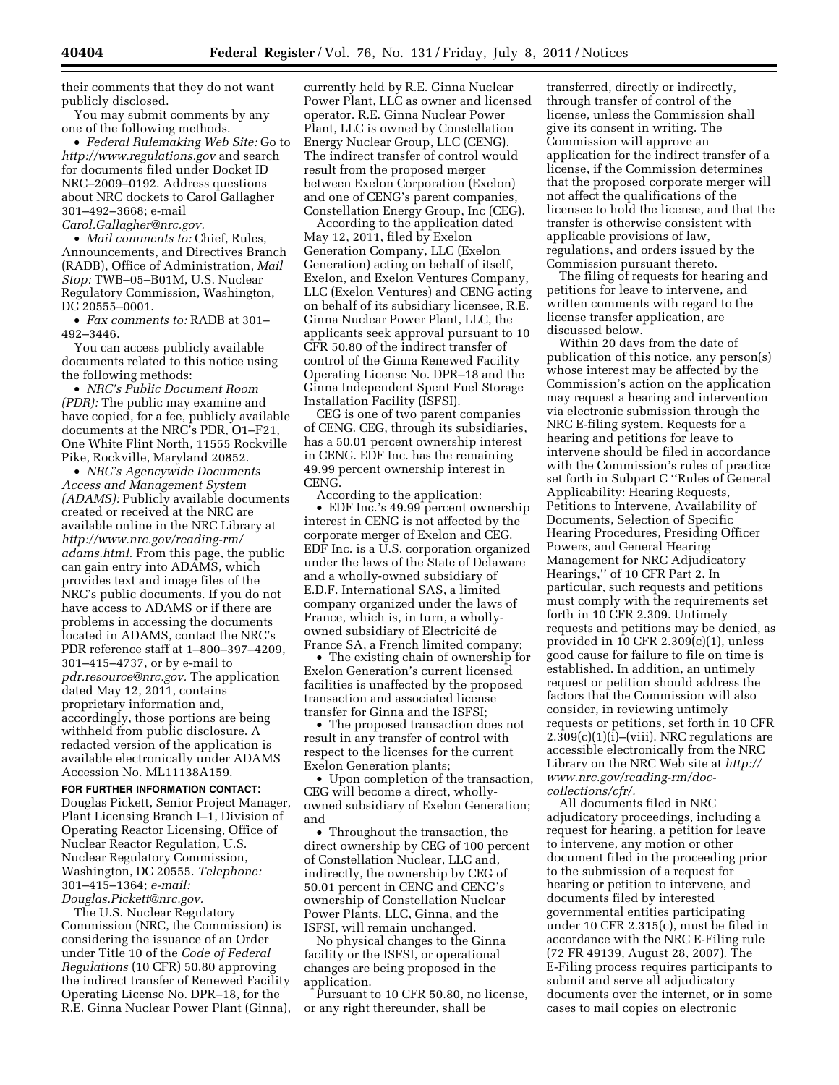their comments that they do not want publicly disclosed.

You may submit comments by any one of the following methods.

• *Federal Rulemaking Web Site:* Go to *<http://www.regulations.gov>* and search for documents filed under Docket ID NRC–2009–0192. Address questions about NRC dockets to Carol Gallagher 301–492–3668; e-mail

*[Carol.Gallagher@nrc.gov.](mailto:Carol.Gallagher@nrc.gov)* 

• *Mail comments to:* Chief, Rules, Announcements, and Directives Branch (RADB), Office of Administration, *Mail Stop:* TWB–05–B01M, U.S. Nuclear Regulatory Commission, Washington, DC 20555–0001.

• *Fax comments to:* RADB at 301– 492–3446.

You can access publicly available documents related to this notice using the following methods:

• *NRC's Public Document Room (PDR):* The public may examine and have copied, for a fee, publicly available documents at the NRC's PDR, O1–F21, One White Flint North, 11555 Rockville Pike, Rockville, Maryland 20852.

• *NRC's Agencywide Documents Access and Management System (ADAMS):* Publicly available documents created or received at the NRC are available online in the NRC Library at *[http://www.nrc.gov/reading-rm/](http://www.nrc.gov/reading-rm/adams.html)  [adams.html.](http://www.nrc.gov/reading-rm/adams.html)* From this page, the public can gain entry into ADAMS, which provides text and image files of the NRC's public documents. If you do not have access to ADAMS or if there are problems in accessing the documents located in ADAMS, contact the NRC's PDR reference staff at 1–800–397–4209, 301–415–4737, or by e-mail to *[pdr.resource@nrc.gov.](mailto:pdr.resource@nrc.gov)* The application dated May 12, 2011, contains proprietary information and, accordingly, those portions are being withheld from public disclosure. A redacted version of the application is available electronically under ADAMS Accession No. ML11138A159.

**FOR FURTHER INFORMATION CONTACT:**  Douglas Pickett, Senior Project Manager, Plant Licensing Branch I–1, Division of Operating Reactor Licensing, Office of Nuclear Reactor Regulation, U.S. Nuclear Regulatory Commission, Washington, DC 20555. *Telephone:*  301–415–1364; *e-mail: [Douglas.Pickett@nrc.gov.](mailto:Douglas.Pickett@nrc.gov)* 

The U.S. Nuclear Regulatory Commission (NRC, the Commission) is considering the issuance of an Order under Title 10 of the *Code of Federal Regulations* (10 CFR) 50.80 approving the indirect transfer of Renewed Facility Operating License No. DPR–18, for the R.E. Ginna Nuclear Power Plant (Ginna),

currently held by R.E. Ginna Nuclear Power Plant, LLC as owner and licensed operator. R.E. Ginna Nuclear Power Plant, LLC is owned by Constellation Energy Nuclear Group, LLC (CENG). The indirect transfer of control would result from the proposed merger between Exelon Corporation (Exelon) and one of CENG's parent companies, Constellation Energy Group, Inc (CEG).

According to the application dated May 12, 2011, filed by Exelon Generation Company, LLC (Exelon Generation) acting on behalf of itself, Exelon, and Exelon Ventures Company, LLC (Exelon Ventures) and CENG acting on behalf of its subsidiary licensee, R.E. Ginna Nuclear Power Plant, LLC, the applicants seek approval pursuant to 10 CFR 50.80 of the indirect transfer of control of the Ginna Renewed Facility Operating License No. DPR–18 and the Ginna Independent Spent Fuel Storage Installation Facility (ISFSI).

CEG is one of two parent companies of CENG. CEG, through its subsidiaries, has a 50.01 percent ownership interest in CENG. EDF Inc. has the remaining 49.99 percent ownership interest in CENG.

According to the application: • EDF Inc.'s 49.99 percent ownership interest in CENG is not affected by the corporate merger of Exelon and CEG. EDF Inc. is a U.S. corporation organized under the laws of the State of Delaware and a wholly-owned subsidiary of E.D.F. International SAS, a limited company organized under the laws of France, which is, in turn, a whollyowned subsidiary of Electricité de France SA, a French limited company;

• The existing chain of ownership for Exelon Generation's current licensed facilities is unaffected by the proposed transaction and associated license transfer for Ginna and the ISFSI;

• The proposed transaction does not result in any transfer of control with respect to the licenses for the current Exelon Generation plants;

• Upon completion of the transaction, CEG will become a direct, whollyowned subsidiary of Exelon Generation; and

• Throughout the transaction, the direct ownership by CEG of 100 percent of Constellation Nuclear, LLC and, indirectly, the ownership by CEG of 50.01 percent in CENG and CENG's ownership of Constellation Nuclear Power Plants, LLC, Ginna, and the ISFSI, will remain unchanged.

No physical changes to the Ginna facility or the ISFSI, or operational changes are being proposed in the application.

Pursuant to 10 CFR 50.80, no license, or any right thereunder, shall be

transferred, directly or indirectly, through transfer of control of the license, unless the Commission shall give its consent in writing. The Commission will approve an application for the indirect transfer of a license, if the Commission determines that the proposed corporate merger will not affect the qualifications of the licensee to hold the license, and that the transfer is otherwise consistent with applicable provisions of law, regulations, and orders issued by the Commission pursuant thereto.

The filing of requests for hearing and petitions for leave to intervene, and written comments with regard to the license transfer application, are discussed below.

Within 20 days from the date of publication of this notice, any person(s) whose interest may be affected by the Commission's action on the application may request a hearing and intervention via electronic submission through the NRC E-filing system. Requests for a hearing and petitions for leave to intervene should be filed in accordance with the Commission's rules of practice set forth in Subpart C ''Rules of General Applicability: Hearing Requests, Petitions to Intervene, Availability of Documents, Selection of Specific Hearing Procedures, Presiding Officer Powers, and General Hearing Management for NRC Adjudicatory Hearings,'' of 10 CFR Part 2. In particular, such requests and petitions must comply with the requirements set forth in 10 CFR 2.309. Untimely requests and petitions may be denied, as provided in 10 CFR 2.309(c)(1), unless good cause for failure to file on time is established. In addition, an untimely request or petition should address the factors that the Commission will also consider, in reviewing untimely requests or petitions, set forth in 10 CFR  $2.309(c)(1)(i)$ –(viii). NRC regulations are accessible electronically from the NRC Library on the NRC Web site at *[http://](http://www.nrc.gov/reading-rm/doc-collections/cfr/)  [www.nrc.gov/reading-rm/doc](http://www.nrc.gov/reading-rm/doc-collections/cfr/)[collections/cfr/.](http://www.nrc.gov/reading-rm/doc-collections/cfr/)* 

All documents filed in NRC adjudicatory proceedings, including a request for hearing, a petition for leave to intervene, any motion or other document filed in the proceeding prior to the submission of a request for hearing or petition to intervene, and documents filed by interested governmental entities participating under 10 CFR 2.315(c), must be filed in accordance with the NRC E-Filing rule (72 FR 49139, August 28, 2007). The E-Filing process requires participants to submit and serve all adjudicatory documents over the internet, or in some cases to mail copies on electronic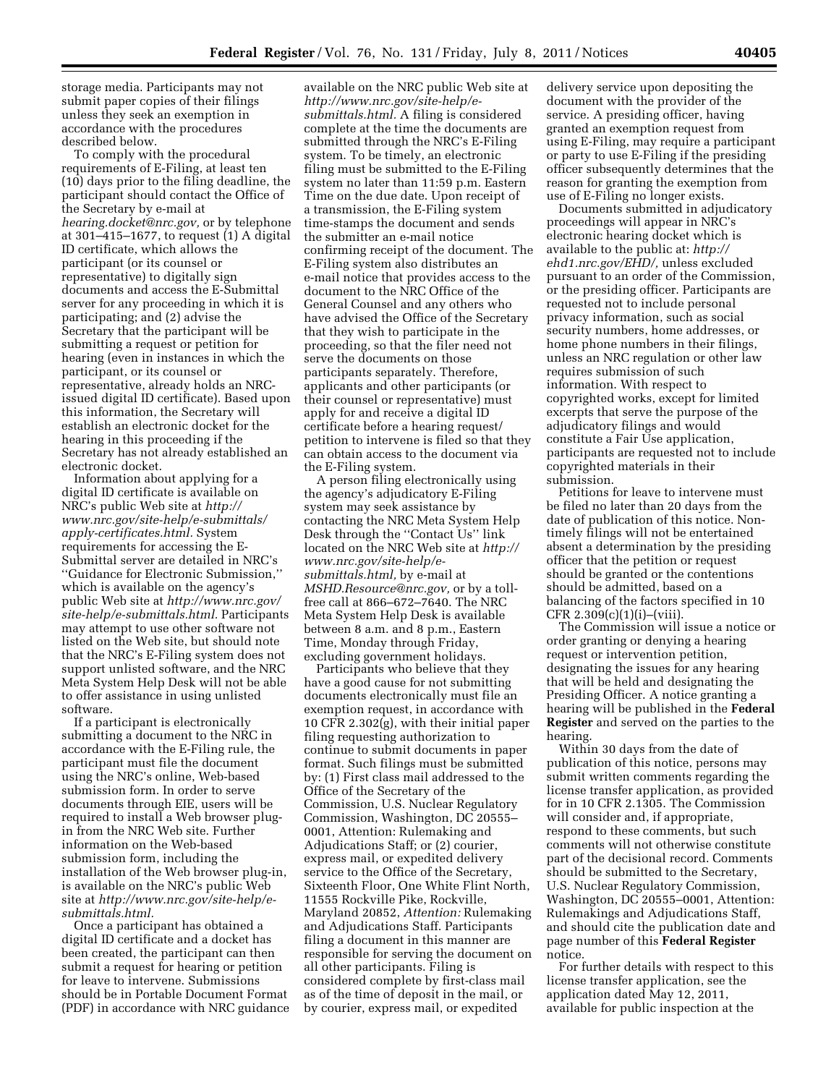storage media. Participants may not submit paper copies of their filings unless they seek an exemption in accordance with the procedures described below.

To comply with the procedural requirements of E-Filing, at least ten (10) days prior to the filing deadline, the participant should contact the Office of the Secretary by e-mail at *[hearing.docket@nrc.gov,](mailto:hearing.docket@nrc.gov)* or by telephone at 301–415–1677, to request (1) A digital ID certificate, which allows the participant (or its counsel or representative) to digitally sign documents and access the E-Submittal server for any proceeding in which it is participating; and (2) advise the Secretary that the participant will be submitting a request or petition for hearing (even in instances in which the participant, or its counsel or representative, already holds an NRCissued digital ID certificate). Based upon this information, the Secretary will establish an electronic docket for the hearing in this proceeding if the Secretary has not already established an electronic docket.

Information about applying for a digital ID certificate is available on NRC's public Web site at *[http://](http://www.nrc.gov/site-help/e-submittals/apply-certificates.html) [www.nrc.gov/site-help/e-submittals/](http://www.nrc.gov/site-help/e-submittals/apply-certificates.html)  [apply-certificates.html.](http://www.nrc.gov/site-help/e-submittals/apply-certificates.html)* System requirements for accessing the E-Submittal server are detailed in NRC's ''Guidance for Electronic Submission,'' which is available on the agency's public Web site at *[http://www.nrc.gov/](http://www.nrc.gov/site-help/e-submittals.html) [site-help/e-submittals.html.](http://www.nrc.gov/site-help/e-submittals.html)* Participants may attempt to use other software not listed on the Web site, but should note that the NRC's E-Filing system does not support unlisted software, and the NRC Meta System Help Desk will not be able to offer assistance in using unlisted software.

If a participant is electronically submitting a document to the NRC in accordance with the E-Filing rule, the participant must file the document using the NRC's online, Web-based submission form. In order to serve documents through EIE, users will be required to install a Web browser plugin from the NRC Web site. Further information on the Web-based submission form, including the installation of the Web browser plug-in, is available on the NRC's public Web site at *[http://www.nrc.gov/site-help/e](http://www.nrc.gov/site-help/e-submittals.html)[submittals.html.](http://www.nrc.gov/site-help/e-submittals.html)* 

Once a participant has obtained a digital ID certificate and a docket has been created, the participant can then submit a request for hearing or petition for leave to intervene. Submissions should be in Portable Document Format (PDF) in accordance with NRC guidance

available on the NRC public Web site at *[http://www.nrc.gov/site-help/e](http://www.nrc.gov/site-help/e-submittals.html)[submittals.html.](http://www.nrc.gov/site-help/e-submittals.html)* A filing is considered complete at the time the documents are submitted through the NRC's E-Filing system. To be timely, an electronic filing must be submitted to the E-Filing system no later than 11:59 p.m. Eastern Time on the due date. Upon receipt of a transmission, the E-Filing system time-stamps the document and sends the submitter an e-mail notice confirming receipt of the document. The E-Filing system also distributes an e-mail notice that provides access to the document to the NRC Office of the General Counsel and any others who have advised the Office of the Secretary that they wish to participate in the proceeding, so that the filer need not serve the documents on those participants separately. Therefore, applicants and other participants (or their counsel or representative) must apply for and receive a digital ID certificate before a hearing request/ petition to intervene is filed so that they can obtain access to the document via the E-Filing system.

A person filing electronically using the agency's adjudicatory E-Filing system may seek assistance by contacting the NRC Meta System Help Desk through the ''Contact Us'' link located on the NRC Web site at *[http://](http://www.nrc.gov/site-help/e-submittals.html)  [www.nrc.gov/site-help/e](http://www.nrc.gov/site-help/e-submittals.html)[submittals.html,](http://www.nrc.gov/site-help/e-submittals.html)* by e-mail at *[MSHD.Resource@nrc.gov,](mailto:MSHD.Resource@nrc.gov)* or by a tollfree call at 866–672–7640. The NRC Meta System Help Desk is available between 8 a.m. and 8 p.m., Eastern Time, Monday through Friday, excluding government holidays.

Participants who believe that they have a good cause for not submitting documents electronically must file an exemption request, in accordance with 10 CFR 2.302(g), with their initial paper filing requesting authorization to continue to submit documents in paper format. Such filings must be submitted by: (1) First class mail addressed to the Office of the Secretary of the Commission, U.S. Nuclear Regulatory Commission, Washington, DC 20555– 0001, Attention: Rulemaking and Adjudications Staff; or (2) courier, express mail, or expedited delivery service to the Office of the Secretary, Sixteenth Floor, One White Flint North, 11555 Rockville Pike, Rockville, Maryland 20852, *Attention:* Rulemaking and Adjudications Staff. Participants filing a document in this manner are responsible for serving the document on all other participants. Filing is considered complete by first-class mail as of the time of deposit in the mail, or by courier, express mail, or expedited

delivery service upon depositing the document with the provider of the service. A presiding officer, having granted an exemption request from using E-Filing, may require a participant or party to use E-Filing if the presiding officer subsequently determines that the reason for granting the exemption from use of E-Filing no longer exists.

Documents submitted in adjudicatory proceedings will appear in NRC's electronic hearing docket which is available to the public at: *[http://](http://ehd1.nrc.gov/EHD/) [ehd1.nrc.gov/EHD/,](http://ehd1.nrc.gov/EHD/)* unless excluded pursuant to an order of the Commission, or the presiding officer. Participants are requested not to include personal privacy information, such as social security numbers, home addresses, or home phone numbers in their filings, unless an NRC regulation or other law requires submission of such information. With respect to copyrighted works, except for limited excerpts that serve the purpose of the adjudicatory filings and would constitute a Fair Use application, participants are requested not to include copyrighted materials in their submission.

Petitions for leave to intervene must be filed no later than 20 days from the date of publication of this notice. Nontimely filings will not be entertained absent a determination by the presiding officer that the petition or request should be granted or the contentions should be admitted, based on a balancing of the factors specified in 10  $CFR 2.309(c)(1)(i)–(viii)$ 

The Commission will issue a notice or order granting or denying a hearing request or intervention petition, designating the issues for any hearing that will be held and designating the Presiding Officer. A notice granting a hearing will be published in the **Federal Register** and served on the parties to the hearing.

Within 30 days from the date of publication of this notice, persons may submit written comments regarding the license transfer application, as provided for in 10 CFR 2.1305. The Commission will consider and, if appropriate, respond to these comments, but such comments will not otherwise constitute part of the decisional record. Comments should be submitted to the Secretary, U.S. Nuclear Regulatory Commission, Washington, DC 20555–0001, Attention: Rulemakings and Adjudications Staff, and should cite the publication date and page number of this **Federal Register**  notice.

For further details with respect to this license transfer application, see the application dated May 12, 2011, available for public inspection at the